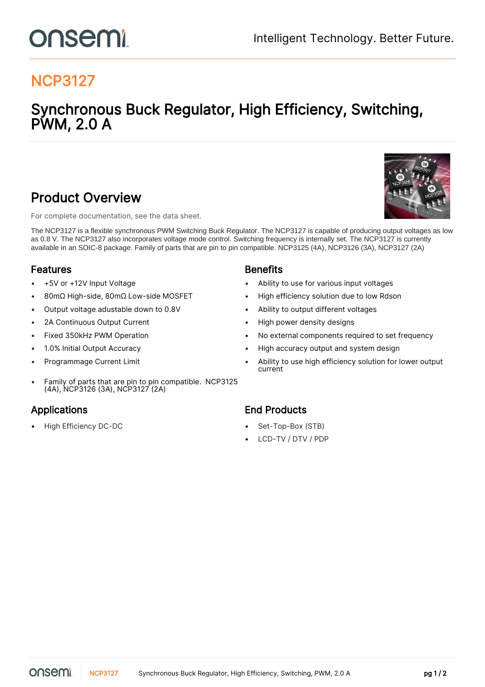## NCP3127

## Synchronous Buck Regulator, High Efficiency, Switching, PWM, 2.0 A

### Product Overview

For complete documentation, see the [data sheet.](https://www.onsemi.com/PowerSolutions/product.do?id=NCP3127)

The NCP3127 is a flexible synchronous PWM Switching Buck Regulator. The NCP3127 is capable of producing output voltages as low as 0.8 V. The NCP3127 also incorporates voltage mode control. Switching frequency is internally set. The NCP3127 is currently available in an SOIC-8 package. Family of parts that are pin to pin compatible. NCP3125 (4A), NCP3126 (3A), NCP3127 (2A)

### Features and the second series of the Benefits

- 
- 
- Output voltage adustable down to 0.8V Ability to output different voltages
- 
- 
- 
- 
- Family of parts that are pin to pin compatible. NCP3125 (4A), NCP3126 (3A), NCP3127 (2A)

• High Efficiency DC-DC • Set-Top-Box (STB)

- +5V or +12V Input Voltage Ability to use for various input voltages
- 80mΩ High-side, 80mΩ Low-side MOSFET High efficiency solution due to low Rdson
	-
- 2A Continuous Output Current  **12 Continuous Output Current 12 Continuous Current** High power density designs
- Fixed 350kHz PWM Operation No external components required to set frequency
- 1.0% Initial Output Accuracy High accuracy output and system design
- **Programmage Current Limit Comparison Comparison Comparison Comparison Comparison Comparison Comparison Compar** current

### Applications **End Products**

- 
- LCD-TV / DTV / PDP